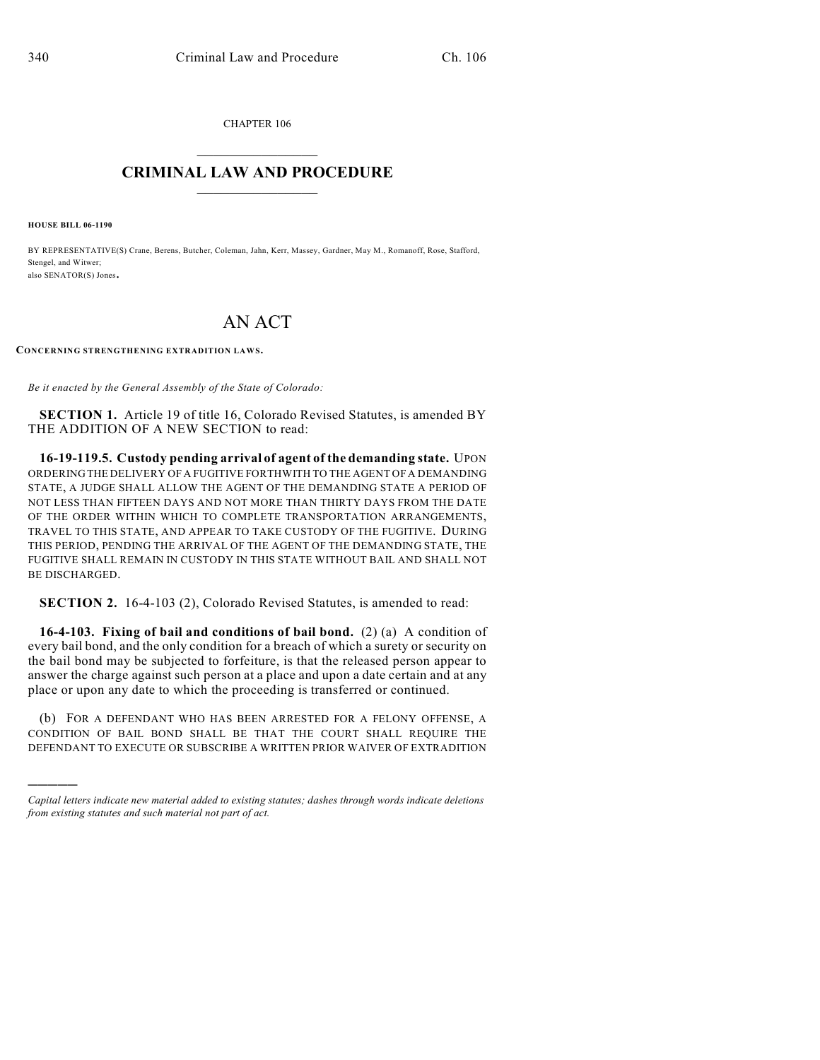CHAPTER 106  $\mathcal{L}_\text{max}$  . The set of the set of the set of the set of the set of the set of the set of the set of the set of the set of the set of the set of the set of the set of the set of the set of the set of the set of the set

## **CRIMINAL LAW AND PROCEDURE**  $\frac{1}{2}$  ,  $\frac{1}{2}$  ,  $\frac{1}{2}$  ,  $\frac{1}{2}$  ,  $\frac{1}{2}$  ,  $\frac{1}{2}$  ,  $\frac{1}{2}$

**HOUSE BILL 06-1190**

)))))

BY REPRESENTATIVE(S) Crane, Berens, Butcher, Coleman, Jahn, Kerr, Massey, Gardner, May M., Romanoff, Rose, Stafford, Stengel, and Witwer; also SENATOR(S) Jones.

## AN ACT

**CONCERNING STRENGTHENING EXTRADITION LAW S.**

*Be it enacted by the General Assembly of the State of Colorado:*

**SECTION 1.** Article 19 of title 16, Colorado Revised Statutes, is amended BY THE ADDITION OF A NEW SECTION to read:

**16-19-119.5. Custody pending arrival of agent of the demanding state.** UPON ORDERING THE DELIVERY OF A FUGITIVE FORTHWITH TO THE AGENT OF A DEMANDING STATE, A JUDGE SHALL ALLOW THE AGENT OF THE DEMANDING STATE A PERIOD OF NOT LESS THAN FIFTEEN DAYS AND NOT MORE THAN THIRTY DAYS FROM THE DATE OF THE ORDER WITHIN WHICH TO COMPLETE TRANSPORTATION ARRANGEMENTS, TRAVEL TO THIS STATE, AND APPEAR TO TAKE CUSTODY OF THE FUGITIVE. DURING THIS PERIOD, PENDING THE ARRIVAL OF THE AGENT OF THE DEMANDING STATE, THE FUGITIVE SHALL REMAIN IN CUSTODY IN THIS STATE WITHOUT BAIL AND SHALL NOT BE DISCHARGED.

**SECTION 2.** 16-4-103 (2), Colorado Revised Statutes, is amended to read:

**16-4-103. Fixing of bail and conditions of bail bond.** (2) (a) A condition of every bail bond, and the only condition for a breach of which a surety or security on the bail bond may be subjected to forfeiture, is that the released person appear to answer the charge against such person at a place and upon a date certain and at any place or upon any date to which the proceeding is transferred or continued.

(b) FOR A DEFENDANT WHO HAS BEEN ARRESTED FOR A FELONY OFFENSE, A CONDITION OF BAIL BOND SHALL BE THAT THE COURT SHALL REQUIRE THE DEFENDANT TO EXECUTE OR SUBSCRIBE A WRITTEN PRIOR WAIVER OF EXTRADITION

*Capital letters indicate new material added to existing statutes; dashes through words indicate deletions from existing statutes and such material not part of act.*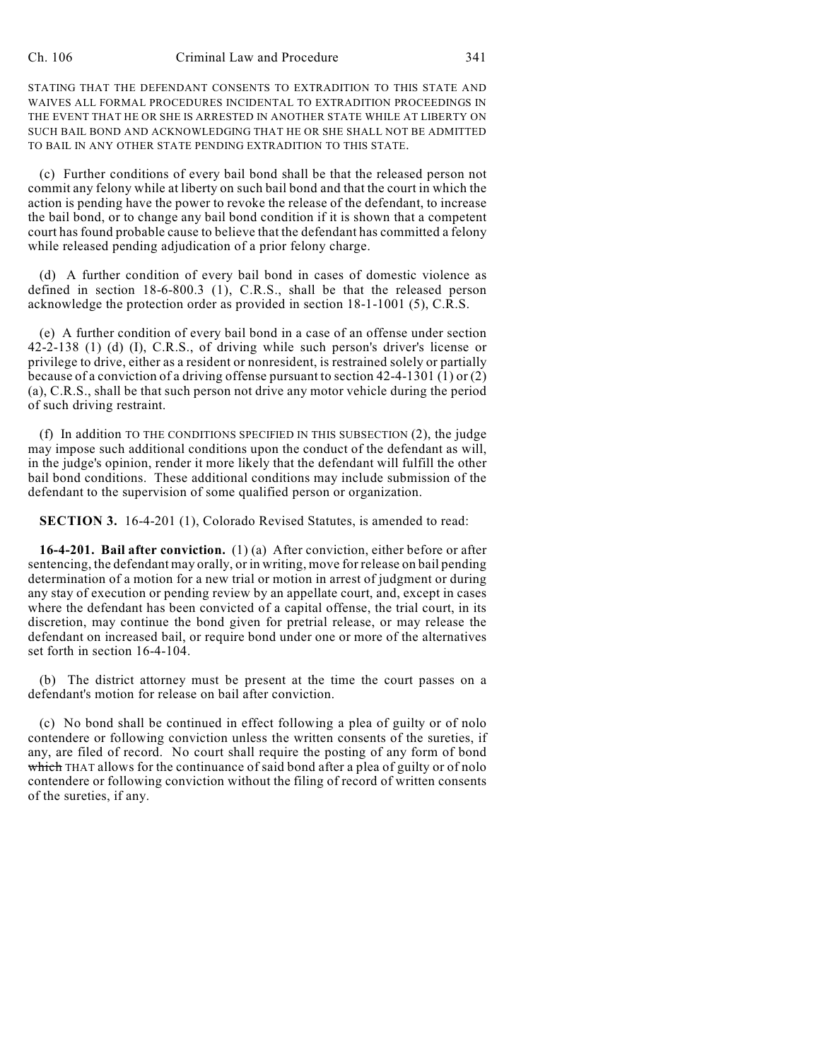STATING THAT THE DEFENDANT CONSENTS TO EXTRADITION TO THIS STATE AND WAIVES ALL FORMAL PROCEDURES INCIDENTAL TO EXTRADITION PROCEEDINGS IN THE EVENT THAT HE OR SHE IS ARRESTED IN ANOTHER STATE WHILE AT LIBERTY ON SUCH BAIL BOND AND ACKNOWLEDGING THAT HE OR SHE SHALL NOT BE ADMITTED TO BAIL IN ANY OTHER STATE PENDING EXTRADITION TO THIS STATE.

(c) Further conditions of every bail bond shall be that the released person not commit any felony while at liberty on such bail bond and that the court in which the action is pending have the power to revoke the release of the defendant, to increase the bail bond, or to change any bail bond condition if it is shown that a competent court has found probable cause to believe that the defendant has committed a felony while released pending adjudication of a prior felony charge.

(d) A further condition of every bail bond in cases of domestic violence as defined in section 18-6-800.3 (1), C.R.S., shall be that the released person acknowledge the protection order as provided in section 18-1-1001 (5), C.R.S.

(e) A further condition of every bail bond in a case of an offense under section 42-2-138 (1) (d) (I), C.R.S., of driving while such person's driver's license or privilege to drive, either as a resident or nonresident, is restrained solely or partially because of a conviction of a driving offense pursuant to section  $42-4-1301(1)$  or  $(2)$ (a), C.R.S., shall be that such person not drive any motor vehicle during the period of such driving restraint.

(f) In addition TO THE CONDITIONS SPECIFIED IN THIS SUBSECTION (2), the judge may impose such additional conditions upon the conduct of the defendant as will, in the judge's opinion, render it more likely that the defendant will fulfill the other bail bond conditions. These additional conditions may include submission of the defendant to the supervision of some qualified person or organization.

**SECTION 3.** 16-4-201 (1), Colorado Revised Statutes, is amended to read:

**16-4-201. Bail after conviction.** (1) (a) After conviction, either before or after sentencing, the defendant may orally, or in writing, move for release on bail pending determination of a motion for a new trial or motion in arrest of judgment or during any stay of execution or pending review by an appellate court, and, except in cases where the defendant has been convicted of a capital offense, the trial court, in its discretion, may continue the bond given for pretrial release, or may release the defendant on increased bail, or require bond under one or more of the alternatives set forth in section 16-4-104.

(b) The district attorney must be present at the time the court passes on a defendant's motion for release on bail after conviction.

(c) No bond shall be continued in effect following a plea of guilty or of nolo contendere or following conviction unless the written consents of the sureties, if any, are filed of record. No court shall require the posting of any form of bond which THAT allows for the continuance of said bond after a plea of guilty or of nolo contendere or following conviction without the filing of record of written consents of the sureties, if any.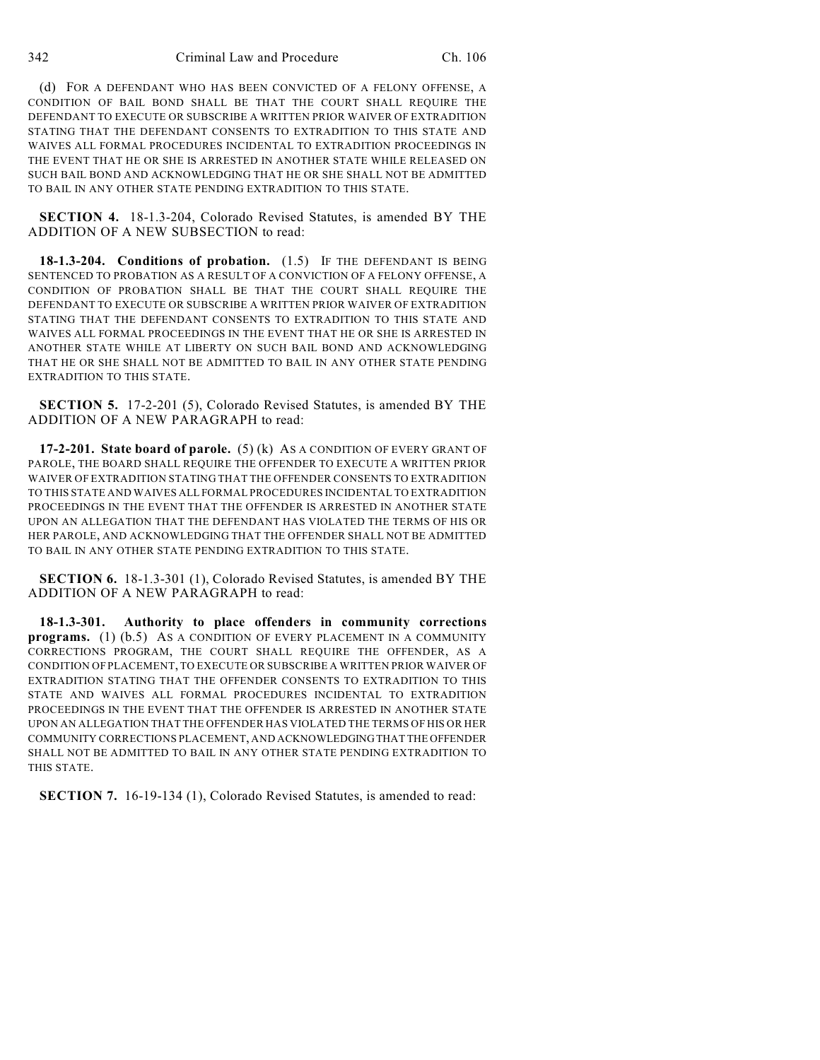(d) FOR A DEFENDANT WHO HAS BEEN CONVICTED OF A FELONY OFFENSE, A CONDITION OF BAIL BOND SHALL BE THAT THE COURT SHALL REQUIRE THE DEFENDANT TO EXECUTE OR SUBSCRIBE A WRITTEN PRIOR WAIVER OF EXTRADITION STATING THAT THE DEFENDANT CONSENTS TO EXTRADITION TO THIS STATE AND WAIVES ALL FORMAL PROCEDURES INCIDENTAL TO EXTRADITION PROCEEDINGS IN THE EVENT THAT HE OR SHE IS ARRESTED IN ANOTHER STATE WHILE RELEASED ON SUCH BAIL BOND AND ACKNOWLEDGING THAT HE OR SHE SHALL NOT BE ADMITTED TO BAIL IN ANY OTHER STATE PENDING EXTRADITION TO THIS STATE.

**SECTION 4.** 18-1.3-204, Colorado Revised Statutes, is amended BY THE ADDITION OF A NEW SUBSECTION to read:

**18-1.3-204. Conditions of probation.** (1.5) IF THE DEFENDANT IS BEING SENTENCED TO PROBATION AS A RESULT OF A CONVICTION OF A FELONY OFFENSE, A CONDITION OF PROBATION SHALL BE THAT THE COURT SHALL REQUIRE THE DEFENDANT TO EXECUTE OR SUBSCRIBE A WRITTEN PRIOR WAIVER OF EXTRADITION STATING THAT THE DEFENDANT CONSENTS TO EXTRADITION TO THIS STATE AND WAIVES ALL FORMAL PROCEEDINGS IN THE EVENT THAT HE OR SHE IS ARRESTED IN ANOTHER STATE WHILE AT LIBERTY ON SUCH BAIL BOND AND ACKNOWLEDGING THAT HE OR SHE SHALL NOT BE ADMITTED TO BAIL IN ANY OTHER STATE PENDING EXTRADITION TO THIS STATE.

**SECTION 5.** 17-2-201 (5), Colorado Revised Statutes, is amended BY THE ADDITION OF A NEW PARAGRAPH to read:

**17-2-201. State board of parole.** (5) (k) AS A CONDITION OF EVERY GRANT OF PAROLE, THE BOARD SHALL REQUIRE THE OFFENDER TO EXECUTE A WRITTEN PRIOR WAIVER OF EXTRADITION STATING THAT THE OFFENDER CONSENTS TO EXTRADITION TO THIS STATE AND WAIVES ALL FORMAL PROCEDURES INCIDENTAL TO EXTRADITION PROCEEDINGS IN THE EVENT THAT THE OFFENDER IS ARRESTED IN ANOTHER STATE UPON AN ALLEGATION THAT THE DEFENDANT HAS VIOLATED THE TERMS OF HIS OR HER PAROLE, AND ACKNOWLEDGING THAT THE OFFENDER SHALL NOT BE ADMITTED TO BAIL IN ANY OTHER STATE PENDING EXTRADITION TO THIS STATE.

**SECTION 6.** 18-1.3-301 (1), Colorado Revised Statutes, is amended BY THE ADDITION OF A NEW PARAGRAPH to read:

**18-1.3-301. Authority to place offenders in community corrections programs.** (1) (b.5) AS A CONDITION OF EVERY PLACEMENT IN A COMMUNITY CORRECTIONS PROGRAM, THE COURT SHALL REQUIRE THE OFFENDER, AS A CONDITION OF PLACEMENT, TO EXECUTE OR SUBSCRIBE A WRITTEN PRIOR WAIVER OF EXTRADITION STATING THAT THE OFFENDER CONSENTS TO EXTRADITION TO THIS STATE AND WAIVES ALL FORMAL PROCEDURES INCIDENTAL TO EXTRADITION PROCEEDINGS IN THE EVENT THAT THE OFFENDER IS ARRESTED IN ANOTHER STATE UPON AN ALLEGATION THAT THE OFFENDER HAS VIOLATED THE TERMS OF HIS OR HER COMMUNITY CORRECTIONS PLACEMENT, AND ACKNOWLEDGING THAT THE OFFENDER SHALL NOT BE ADMITTED TO BAIL IN ANY OTHER STATE PENDING EXTRADITION TO THIS STATE.

**SECTION 7.** 16-19-134 (1), Colorado Revised Statutes, is amended to read: